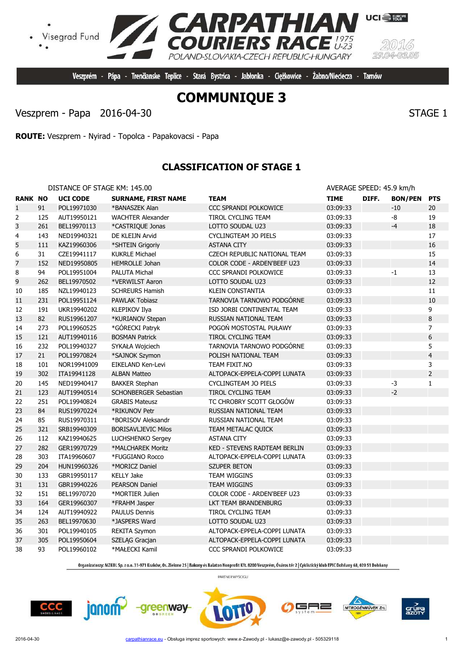greenway



Veszprém - Pápa - Trenčianske Teplice - Stará Bystrica - Jabłonka - Cieżkowice - Żabno/Nieciecza - Tarnów

**PATHIAN**<br>IERS RACE

POLAND-SLOVAKIA-CZECH REPUBLIC-HUNGARY

Veszprem - Papa 2016-04-30 STAGE 1

**ROUTE:** Veszprem - Nyirad - Topolca - Papakovacsi - Papa

## **CLASSIFICATION OF STAGE 1**

| $- - -$ | $ - - - - - -$               | ----- | ----<br>-----            | ------- |
|---------|------------------------------|-------|--------------------------|---------|
|         | DISTANCE OF STAGE KM: 145.00 |       | AVERAGE SPEED: 45.9 km/h |         |

| <b>RANK NO</b> |     | <b>UCI CODE</b> | <b>SURNAME, FIRST NAME</b>   | <b>TEAM</b>                         | <b>TIME</b> | DIFF. | <b>BON/PEN</b> | <b>PTS</b>     |
|----------------|-----|-----------------|------------------------------|-------------------------------------|-------------|-------|----------------|----------------|
| $\mathbf{1}$   | 91  | POL19971030     | *BANASZEK Alan               | CCC SPRANDI POLKOWICE               | 03:09:33    |       | $-10$          | 20             |
| 2              | 125 | AUT19950121     | <b>WACHTER Alexander</b>     | TIROL CYCLING TEAM                  | 03:09:33    |       | -8             | 19             |
| 3              | 261 | BEL19970113     | *CASTRIQUE Jonas             | LOTTO SOUDAL U23                    | 03:09:33    |       | $-4$           | 18             |
| 4              | 143 | NED19940321     | DE KLEIJN Arvid              | CYCLINGTEAM JO PIELS                | 03:09:33    |       |                | 17             |
| 5              | 111 | KAZ19960306     | *SHTEIN Grigoriy             | <b>ASTANA CITY</b>                  | 03:09:33    |       |                | 16             |
| 6              | 31  | CZE19941117     | <b>KUKRLE Michael</b>        | CZECH REPUBLIC NATIONAL TEAM        | 03:09:33    |       |                | 15             |
| $\overline{7}$ | 152 | NED19950805     | HEMROLLE Johan               | COLOR CODE - ARDEN'BEEF U23         | 03:09:33    |       |                | 14             |
| 8              | 94  | POL19951004     | PALUTA Michał                | CCC SPRANDI POLKOWICE               | 03:09:33    |       | $-1$           | 13             |
| 9              | 262 | BEL19970502     | *VERWILST Aaron              | LOTTO SOUDAL U23                    | 03:09:33    |       |                | 12             |
| 10             | 185 | NZL19940123     | <b>SCHREURS Hamish</b>       | <b>KLEIN CONSTANTIA</b>             | 03:09:33    |       |                | 11             |
| 11             | 231 | POL19951124     | <b>PAWLAK Tobiasz</b>        | TARNOVIA TARNOWO PODGÓRNE           | 03:09:33    |       |                | 10             |
| 12             | 191 | UKR19940202     | KLEPIKOV Ilya                | ISD JORBI CONTINENTAL TEAM          | 03:09:33    |       |                | 9              |
| 13             | 82  | RUS19961207     | *KURIANOV Stepan             | RUSSIAN NATIONAL TEAM               | 03:09:33    |       |                | $\, 8$         |
| 14             | 273 | POL19960525     | *GÓRECKI Patryk              | POGOŃ MOSTOSTAL PUŁAWY              | 03:09:33    |       |                | $\overline{7}$ |
| 15             | 121 | AUT19940116     | <b>BOSMAN Patrick</b>        | TIROL CYCLING TEAM                  | 03:09:33    |       |                | 6              |
| 16             | 232 | POL19940327     | SYKAŁA Wojciech              | TARNOVIA TARNOWO PODGÓRNE           | 03:09:33    |       |                | 5              |
| 17             | 21  | POL19970824     | *SAJNOK Szymon               | POLISH NATIONAL TEAM                | 03:09:33    |       |                | $\overline{4}$ |
| 18             | 101 | NOR19941009     | EIKELAND Ken-Levi            | TEAM FIXIT.NO                       | 03:09:33    |       |                | 3              |
| 19             | 302 | ITA19941128     | <b>ALBAN Matteo</b>          | ALTOPACK-EPPELA-COPPI LUNATA        | 03:09:33    |       |                | $\overline{2}$ |
| 20             | 145 | NED19940417     | <b>BAKKER Stephan</b>        | CYCLINGTEAM JO PIELS                | 03:09:33    |       | -3             | $\mathbf{1}$   |
| 21             | 123 | AUT19940514     | <b>SCHONBERGER Sebastian</b> | <b>TIROL CYCLING TEAM</b>           | 03:09:33    |       | $-2$           |                |
| 22             | 251 | POL19940824     | <b>GRABIS Mateusz</b>        | TC CHROBRY SCOTT GŁOGÓW             | 03:09:33    |       |                |                |
| 23             | 84  | RUS19970224     | *RIKUNOV Petr                | RUSSIAN NATIONAL TEAM               | 03:09:33    |       |                |                |
| 24             | 85  | RUS19970311     | *BORISOV Aleksandr           | RUSSIAN NATIONAL TEAM               | 03:09:33    |       |                |                |
| 25             | 321 | SRB19940309     | <b>BORISAVLJEVIC Milos</b>   | TEAM METALAC QUICK                  | 03:09:33    |       |                |                |
| 26             | 112 | KAZ19940625     | LUCHSHENKO Sergey            | <b>ASTANA CITY</b>                  | 03:09:33    |       |                |                |
| 27             | 282 | GER19970729     | *MALCHAREK Moritz            | <b>KED - STEVENS RADTEAM BERLIN</b> | 03:09:33    |       |                |                |
| 28             | 303 | ITA19960607     | *FUGGIANO Rocco              | ALTOPACK-EPPELA-COPPI LUNATA        | 03:09:33    |       |                |                |
| 29             | 204 | HUN19960326     | *MORICZ Daniel               | <b>SZUPER BETON</b>                 | 03:09:33    |       |                |                |
| 30             | 133 | GBR19950117     | <b>KELLY Jake</b>            | TEAM WIGGINS                        | 03:09:33    |       |                |                |
| 31             | 131 | GBR19940226     | <b>PEARSON Daniel</b>        | TEAM WIGGINS                        | 03:09:33    |       |                |                |
| 32             | 151 | BEL19970720     | *MORTIER Julien              | COLOR CODE - ARDEN'BEEF U23         | 03:09:33    |       |                |                |
| 33             | 164 | GER19960307     | *FRAHM Jasper                | LKT TEAM BRANDENBURG                | 03:09:33    |       |                |                |
| 34             | 124 | AUT19940922     | <b>PAULUS Dennis</b>         | TIROL CYCLING TEAM                  | 03:09:33    |       |                |                |
| 35             | 263 | BEL19970630     | *JASPERS Ward                | LOTTO SOUDAL U23                    | 03:09:33    |       |                |                |
| 36             | 301 | POL19940105     | <b>REKITA Szymon</b>         | ALTOPACK-EPPELA-COPPI LUNATA        | 03:09:33    |       |                |                |
| 37             | 305 | POL19950604     | SZELĄG Gracjan               | ALTOPACK-EPPELA-COPPI LUNATA        | 03:09:33    |       |                |                |
| 38             | 93  | POL19960102     | *MAŁECKI Kamil               | CCC SPRANDI POLKOWICE               | 03:09:33    |       |                |                |

Organizatorzy: MZKOL Sp. z o.o. 31-971 Kraków, Os. Zielone 25 | Bakony és Balaton Nonprofit Kft. 8200 Veszprém, Óváros tér 2 | Cyklistický klub EPIC Dohňany 68, 020 51 Dohňany

PARTNER WYŚCIGU

╕═

NITROGÉNMŰVEK Zrt.

 $CCC$ 









**UCI** FURGPE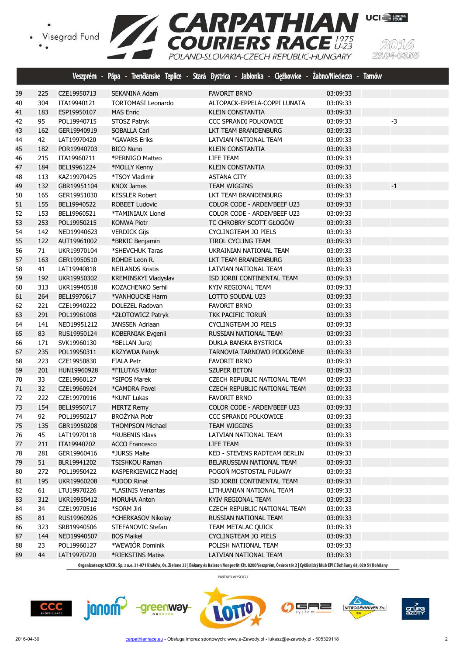Visegrad Fund





Organizatorzy: MZKOL Sp. z o.o. 31-971 Kraków, Os. Zielone 25 | Bakony és Balaton Nonprofit Kft. 8200 Veszprém, Óváros tér 2 | Cyklistický klub EPIC Dohňany 68, 020 51 Dohňany

PARTNER WYŚCIGU





 144 NED19940507 BOS Maikel CYCLINGTEAM JO PIELS 03:09:33 23 POL19960127 \*WEWIÓR Dominik POLISH NATIONAL TEAM 03:09:33 44 LAT19970720 \*RIEKSTINS Matiss LATVIAN NATIONAL TEAM 03:09:33





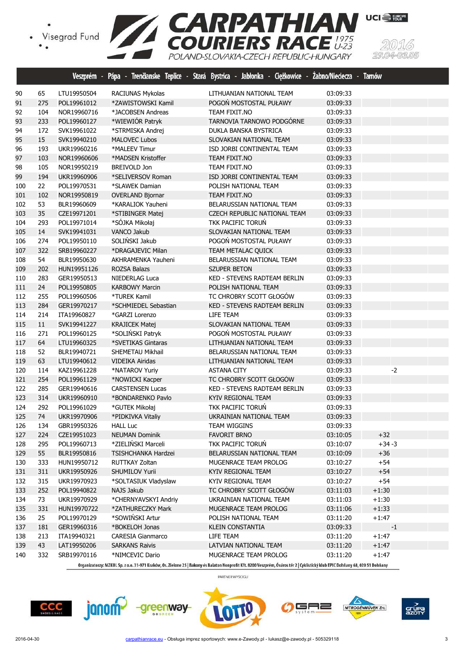

|     |     |             | Veszprém - Pápa - Trenčianske Teplice - | Stará Bystrica - Jabłonka - Ciężkowice - Żabno/Nieciecza - Tamów |          |         |
|-----|-----|-------------|-----------------------------------------|------------------------------------------------------------------|----------|---------|
| 90  | 65  | LTU19950504 | RACIUNAS Mykolas                        | LITHUANIAN NATIONAL TEAM                                         | 03:09:33 |         |
| 91  | 275 | POL19961012 | *ZAWISTOWSKI Kamil                      | POGON MOSTOSTAL PUŁAWY                                           | 03:09:33 |         |
| 92  | 104 | NOR19960716 | *JACOBSEN Andreas                       | TEAM FIXIT.NO                                                    | 03:09:33 |         |
| 93  | 233 | POL19960127 | *WIEWIÓR Patryk                         | TARNOVIA TARNOWO PODGÓRNE                                        | 03:09:33 |         |
| 94  | 172 | SVK19961022 | *STRMISKA Andrej                        | DUKLA BANSKA BYSTRICA                                            | 03:09:33 |         |
| 95  | 15  | SVK19940210 | <b>MALOVEC Lubos</b>                    | SLOVAKIAN NATIONAL TEAM                                          | 03:09:33 |         |
| 96  | 193 | UKR19960216 | *MALEEV Timur                           | ISD JORBI CONTINENTAL TEAM                                       | 03:09:33 |         |
| 97  | 103 | NOR19960606 | *MADSEN Kristoffer                      | TEAM FIXIT.NO                                                    | 03:09:33 |         |
| 98  | 105 | NOR19950219 | <b>BREIVOLD Jon</b>                     | TEAM FIXIT.NO                                                    | 03:09:33 |         |
| 99  | 194 | UKR19960906 | *SELIVERSOV Roman                       | ISD JORBI CONTINENTAL TEAM                                       | 03:09:33 |         |
| 100 | 22  | POL19970531 | *SLAWEK Damian                          | POLISH NATIONAL TEAM                                             | 03:09:33 |         |
| 101 | 102 | NOR19950819 | <b>OVERLAND Bjornar</b>                 | TEAM FIXIT.NO                                                    | 03:09:33 |         |
| 102 | 53  | BLR19960609 | *KARALIOK Yauheni                       | BELARUSSIAN NATIONAL TEAM                                        | 03:09:33 |         |
| 103 | 35  | CZE19971201 | *STIBINGER Matej                        | CZECH REPUBLIC NATIONAL TEAM                                     | 03:09:33 |         |
| 104 | 293 | POL19971014 | *SÓJKA Mikołaj                          | TKK PACIFIC TORUN                                                | 03:09:33 |         |
| 105 | 14  | SVK19941031 | <b>VANCO Jakub</b>                      | SLOVAKIAN NATIONAL TEAM                                          | 03:09:33 |         |
| 106 | 274 | POL19950110 | SOLIŃSKI Jakub                          | POGOŃ MOSTOSTAL PUŁAWY                                           | 03:09:33 |         |
| 107 | 322 | SRB19960227 | *DRAGAJEVIC Milan                       | TEAM METALAC QUICK                                               | 03:09:33 |         |
| 108 | 54  | BLR19950630 | AKHRAMENKA Yauheni                      | BELARUSSIAN NATIONAL TEAM                                        | 03:09:33 |         |
| 109 | 202 | HUN19951126 | ROZSA Balazs                            | SZUPER BETON                                                     | 03:09:33 |         |
| 110 | 283 | GER19950513 | NIEDERLAG Luca                          | KED - STEVENS RADTEAM BERLIN                                     | 03:09:33 |         |
| 111 | 24  | POL19950805 | <b>KARBOWY Marcin</b>                   | POLISH NATIONAL TEAM                                             | 03:09:33 |         |
| 112 | 255 | POL19960506 | *TUREK Kamil                            | TC CHROBRY SCOTT GŁOGÓW                                          | 03:09:33 |         |
| 113 | 284 | GER19970217 | *SCHMIEDEL Sebastian                    | KED - STEVENS RADTEAM BERLIN                                     | 03:09:33 |         |
| 114 | 214 | ITA19960827 | *GARZI Lorenzo                          | LIFE TEAM                                                        | 03:09:33 |         |
| 115 | 11  | SVK19941227 | <b>KRAJICEK Matej</b>                   | SLOVAKIAN NATIONAL TEAM                                          | 03:09:33 |         |
| 116 | 271 | POL19960125 | *SOLIŃSKI Patryk                        | POGOŃ MOSTOSTAL PUŁAWY                                           | 03:09:33 |         |
| 117 | 64  | LTU19960325 | *SVETIKAS Gintaras                      | LITHUANIAN NATIONAL TEAM                                         | 03:09:33 |         |
| 118 | 52  | BLR19940721 | SHEMETAU Mikhail                        | BELARUSSIAN NATIONAL TEAM                                        | 03:09:33 |         |
| 119 | 63  | LTU19940612 | VIDEIKA Airidas                         | LITHUANIAN NATIONAL TEAM                                         | 03:09:33 |         |
| 120 | 114 | KAZ19961228 | *NATAROV Yuriy                          | <b>ASTANA CITY</b>                                               | 03:09:33 | $-2$    |
| 121 | 254 | POL19961129 | *NOWICKI Kacper                         | TC CHROBRY SCOTT GŁOGÓW                                          | 03:09:33 |         |
| 122 | 285 | GER19940616 | <b>CARSTENSEN Lucas</b>                 | KED - STEVENS RADTEAM BERLIN                                     | 03:09:33 |         |
| 123 | 314 | UKR19960910 | *BONDARENKO Pavlo                       | <b>KYIV REGIONAL TEAM</b>                                        | 03:09:33 |         |
| 124 | 292 | POL19961029 | *GUTEK Mikołaj                          | TKK PACIFIC TORUN                                                | 03:09:33 |         |
| 125 | 74  | UKR19970906 | *PIDKIVKA Vitaliy                       | UKRAINIAN NATIONAL TEAM                                          | 03:09:33 |         |
| 126 | 134 | GBR19950326 | <b>HALL Luc</b>                         | TEAM WIGGINS                                                     | 03:09:33 |         |
| 127 | 224 | CZE19951023 | <b>NEUMAN Dominik</b>                   | <b>FAVORIT BRNO</b>                                              | 03:10:05 | $+32$   |
| 128 | 295 | POL19960713 | *ZIELIŃSKI Marceli                      | TKK PACIFIC TORUŃ                                                | 03:10:07 | $+34-3$ |
| 129 | 55  | BLR19950816 | TSISHCHANKA Hardzei                     | BELARUSSIAN NATIONAL TEAM                                        | 03:10:09 | $+36$   |
| 130 | 333 | HUN19950712 | RUTTKAY Zoltan                          | MUGENRACE TEAM PROLOG                                            | 03:10:27 | $+54$   |
| 131 | 311 | UKR19950926 | SHUMILOV Yurii                          | KYIV REGIONAL TEAM                                               | 03:10:27 | $+54$   |
| 132 | 315 | UKR19970923 | *SOLTASIUK Vladyslaw                    | KYIV REGIONAL TEAM                                               | 03:10:27 | $+54$   |
| 133 | 252 | POL19940822 | NAJS Jakub                              | TC CHROBRY SCOTT GŁOGÓW                                          | 03:11:03 | $+1:30$ |
| 134 | 73  | UKR19970929 | *CHERNYAVSKYI Andriy                    | UKRAINIAN NATIONAL TEAM                                          | 03:11:03 | $+1:30$ |
| 135 | 331 | HUN19970722 | *ZATHURECZKY Mark                       | MUGENRACE TEAM PROLOG                                            | 03:11:06 | $+1:33$ |
| 136 | 25  | POL19970129 | *SOWIŃSKI Artur                         | POLISH NATIONAL TEAM                                             | 03:11:20 | $+1:47$ |
| 137 | 181 | GER19960316 | *BOKELOH Jonas                          | KLEIN CONSTANTIA                                                 | 03:09:33 | $-1$    |
| 138 | 213 | ITA19940321 | CARESIA Gianmarco                       | LIFE TEAM                                                        | 03:11:20 | $+1:47$ |
| 139 | 43  | LAT19950206 | <b>SARKANS Raivis</b>                   | LATVIAN NATIONAL TEAM                                            | 03:11:20 | $+1:47$ |
| 140 | 332 | SRB19970116 | *NIMCEVIC Dario                         | MUGENRACE TEAM PROLOG                                            | 03:11:20 | $+1:47$ |

Organizatorzy: MZKOL Sp. z o.o. 31-971 Kraków, Os. Zielone 25 | Bakony és Balaton Nonprofit Kft. 8200 Veszprém, Óváros tér 2 | Cyklistický klub EPIC Dohňany 68, 020 51 Dohňany







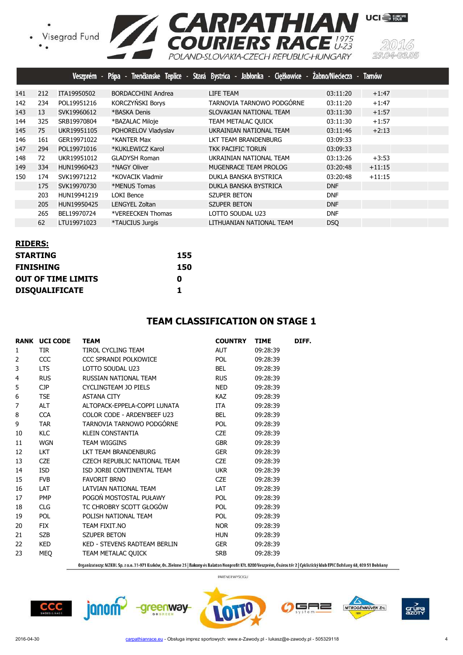

|     |     |             |                      | Veszprém - Pápa - Trenčianske Teplice - Stará Bystrica - Jabłonka - Ciężkowice - Żabno/Nieciecza - Tarnów |            |          |
|-----|-----|-------------|----------------------|-----------------------------------------------------------------------------------------------------------|------------|----------|
| 141 | 212 | ITA19950502 | BORDACCHINI Andrea   | LIFE TEAM                                                                                                 | 03:11:20   | $+1:47$  |
| 142 | 234 | POL19951216 | KORCZYŃSKI Borys     | TARNOVIA TARNOWO PODGÓRNE                                                                                 | 03:11:20   | $+1:47$  |
| 143 | 13  | SVK19960612 | *BASKA Denis         | SLOVAKIAN NATIONAL TEAM                                                                                   | 03:11:30   | $+1:57$  |
| 144 | 325 | SRB19970804 | *BAZALAC Miloje      | TEAM METALAC QUICK                                                                                        | 03:11:30   | $+1:57$  |
| 145 | 75  | UKR19951105 | POHORELOV Vladyslav  | UKRAINIAN NATIONAL TEAM                                                                                   | 03:11:46   | $+2:13$  |
| 146 | 161 | GER19971022 | *KANTER Max          | LKT TEAM BRANDENBURG                                                                                      | 03:09:33   |          |
| 147 | 294 | POL19971016 | *KUKLEWICZ Karol     | TKK PACIFIC TORUN                                                                                         | 03:09:33   |          |
| 148 | 72  | UKR19951012 | <b>GLADYSH Roman</b> | UKRAINIAN NATIONAL TEAM                                                                                   | 03:13:26   | $+3:53$  |
| 149 | 334 | HUN19960423 | *NAGY Oliver         | MUGENRACE TEAM PROLOG                                                                                     | 03:20:48   | $+11:15$ |
| 150 | 174 | SVK19971212 | *KOVACIK Vladmir     | DUKLA BANSKA BYSTRICA                                                                                     | 03:20:48   | $+11:15$ |
|     | 175 | SVK19970730 | *MENUS Tomas         | DUKLA BANSKA BYSTRICA                                                                                     | <b>DNF</b> |          |
|     | 203 | HUN19941219 | LOKI Bence           | <b>SZUPER BETON</b>                                                                                       | <b>DNF</b> |          |
|     | 205 | HUN19950425 | LENGYEL Zoltan       | <b>SZUPER BETON</b>                                                                                       | <b>DNF</b> |          |
|     | 265 | BEL19970724 | *VEREECKEN Thomas    | LOTTO SOUDAL U23                                                                                          | <b>DNF</b> |          |
|     | 62  | LTU19971023 | *TAUCIUS Jurgis      | LITHUANIAN NATIONAL TEAM                                                                                  | <b>DSO</b> |          |

| <b>RIDERS:</b>            |     |
|---------------------------|-----|
| <b>STARTING</b>           | 155 |
| <b>FINISHING</b>          | 150 |
| <b>OUT OF TIME LIMITS</b> | Ω   |
| <b>DISQUALIFICATE</b>     | 1   |

#### **TEAM CLASSIFICATION ON STAGE 1**

|                | <b>RANK UCI CODE</b> | <b>TEAM</b>                  | <b>COUNTRY</b> | <b>TIME</b> | DIFF. |
|----------------|----------------------|------------------------------|----------------|-------------|-------|
| 1              | <b>TIR</b>           | TIROL CYCLING TEAM           | <b>AUT</b>     | 09:28:39    |       |
| $\overline{2}$ | <b>CCC</b>           | CCC SPRANDI POLKOWICE        | POL            | 09:28:39    |       |
| 3              | <b>LTS</b>           | LOTTO SOUDAL U23             | <b>BEL</b>     | 09:28:39    |       |
| 4              | <b>RUS</b>           | RUSSIAN NATIONAL TEAM        | <b>RUS</b>     | 09:28:39    |       |
| 5              | CP                   | CYCLINGTEAM JO PIELS         | <b>NED</b>     | 09:28:39    |       |
| 6              | <b>TSE</b>           | <b>ASTANA CITY</b>           | <b>KAZ</b>     | 09:28:39    |       |
| 7              | <b>ALT</b>           | ALTOPACK-EPPELA-COPPI LUNATA | ITA            | 09:28:39    |       |
| 8              | <b>CCA</b>           | COLOR CODE - ARDEN'BEEF U23  | <b>BEL</b>     | 09:28:39    |       |
| 9              | <b>TAR</b>           | TARNOVIA TARNOWO PODGÓRNE    | POL            | 09:28:39    |       |
| 10             | <b>KLC</b>           | <b>KLEIN CONSTANTIA</b>      | <b>CZE</b>     | 09:28:39    |       |
| 11             | <b>WGN</b>           | <b>TEAM WIGGINS</b>          | <b>GBR</b>     | 09:28:39    |       |
| 12             | <b>LKT</b>           | LKT TEAM BRANDENBURG         | <b>GER</b>     | 09:28:39    |       |
| 13             | <b>CZE</b>           | CZECH REPUBLIC NATIONAL TEAM | <b>CZE</b>     | 09:28:39    |       |
| 14             | <b>ISD</b>           | ISD JORBI CONTINENTAL TEAM   | <b>UKR</b>     | 09:28:39    |       |
| 15             | <b>FVB</b>           | <b>FAVORIT BRNO</b>          | <b>CZE</b>     | 09:28:39    |       |
| 16             | <b>LAT</b>           | LATVIAN NATIONAL TEAM        | <b>LAT</b>     | 09:28:39    |       |
| 17             | <b>PMP</b>           | POGOŃ MOSTOSTAL PUŁAWY       | <b>POL</b>     | 09:28:39    |       |
| 18             | <b>CLG</b>           | TC CHROBRY SCOTT GŁOGÓW      | POL            | 09:28:39    |       |
| 19             | <b>POL</b>           | POLISH NATIONAL TEAM         | <b>POL</b>     | 09:28:39    |       |
| 20             | <b>FIX</b>           | TEAM FIXIT.NO                | <b>NOR</b>     | 09:28:39    |       |
| 21             | <b>SZB</b>           | <b>SZUPER BETON</b>          | <b>HUN</b>     | 09:28:39    |       |
| 22             | <b>KED</b>           | KED - STEVENS RADTEAM BERLIN | <b>GER</b>     | 09:28:39    |       |
| 23             | <b>MEQ</b>           | TEAM METALAC QUICK           | <b>SRB</b>     | 09:28:39    |       |
|                |                      |                              |                |             |       |

Organizatorzy: MZKOL Sp. z o.o. 31-971 Kraków, Os. Zielone 25 | Bakony és Balaton Nonprofit Kft. 8200 Veszprém, Óváros tér 2 | Cyklistický klub EPIC Dohňany 68, 020 51 Dohňany

PARTNER WYŚCIGU

╕

NITROGÉNMŰVEK Zrt.

 $CCC$ 

janom<sup>2</sup>



grúp<br>azot

-0305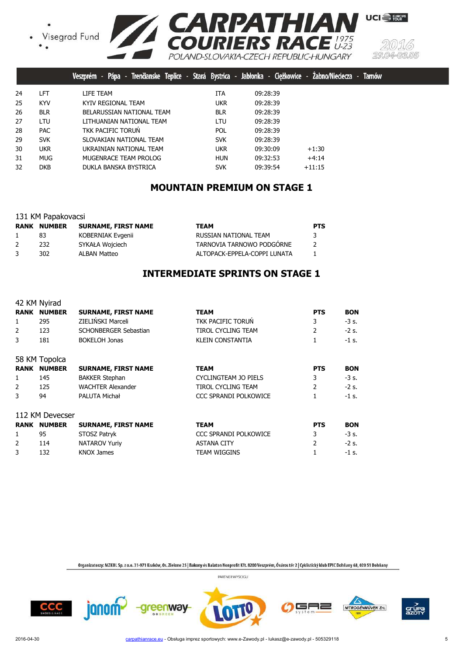



w

|    |            | Trenčianske Teplice - Stará Bystrica - Jabłonka - Ciężkowice - Zabno/Nieciecza<br>Pápa -<br>Veszprém |            |          |          | Tarno |
|----|------------|------------------------------------------------------------------------------------------------------|------------|----------|----------|-------|
| 24 | LFT        | LIFE TEAM                                                                                            | <b>ITA</b> | 09:28:39 |          |       |
| 25 | <b>KYV</b> | KYIV REGIONAL TEAM                                                                                   | <b>UKR</b> | 09:28:39 |          |       |
| 26 | <b>BLR</b> | BELARUSSIAN NATIONAL TEAM                                                                            | <b>BLR</b> | 09:28:39 |          |       |
| 27 | LTU.       | LITHUANIAN NATIONAL TEAM                                                                             | LTU        | 09:28:39 |          |       |
| 28 | <b>PAC</b> | TKK PACIFIC TORUN                                                                                    | <b>POL</b> | 09:28:39 |          |       |
| 29 | <b>SVK</b> | SLOVAKIAN NATIONAL TEAM                                                                              | <b>SVK</b> | 09:28:39 |          |       |
| 30 | <b>UKR</b> | UKRAINIAN NATIONAL TEAM                                                                              | <b>UKR</b> | 09:30:09 | $+1:30$  |       |
| 31 | <b>MUG</b> | MUGENRACE TEAM PROLOG                                                                                | <b>HUN</b> | 09:32:53 | $+4:14$  |       |
| 32 | <b>DKB</b> | DUKLA BANSKA BYSTRICA                                                                                | <b>SVK</b> | 09:39:54 | $+11:15$ |       |
|    |            |                                                                                                      |            |          |          |       |

## **MOUNTAIN PREMIUM ON STAGE 1**

|  | 131 KM Papakovacsi |
|--|--------------------|
|  |                    |

|   | <b>RANK NUMBER</b> | SURNAME, FIRST NAME | <b>TEAM</b>                  | <b>PTS</b> |
|---|--------------------|---------------------|------------------------------|------------|
|   | 83                 | KOBERNIAK Evgenii   | RUSSIAN NATIONAL TEAM        | 3          |
| 2 | 232                | SYKAŁA Wojciech     | TARNOVIA TARNOWO PODGÓRNE    |            |
| 3 | 302.               | ALBAN Matteo        | ALTOPACK-EPPELA-COPPI LUNATA |            |

# **INTERMEDIATE SPRINTS ON STAGE 1**

|             | 42 KM Nyirad    |                            |                              |                |            |
|-------------|-----------------|----------------------------|------------------------------|----------------|------------|
| RANK        | <b>NUMBER</b>   | <b>SURNAME, FIRST NAME</b> | <b>TEAM</b>                  | <b>PTS</b>     | <b>BON</b> |
| 1           | 295             | ZIELIŃSKI Marceli          | <b>TKK PACIFIC TORUN</b>     | 3              | $-3s$ .    |
| 2           | 123             | SCHONBERGER Sebastian      | <b>TIROL CYCLING TEAM</b>    | $\overline{2}$ | $-2s$ .    |
| 3           | 181             | <b>BOKELOH Jonas</b>       | <b>KLEIN CONSTANTIA</b>      |                | $-1$ s.    |
|             | 58 KM Topolca   |                            |                              |                |            |
| <b>RANK</b> | <b>NUMBER</b>   | <b>SURNAME, FIRST NAME</b> | <b>TEAM</b>                  | <b>PTS</b>     | <b>BON</b> |
| 1           | 145             | <b>BAKKER Stephan</b>      | CYCLINGTEAM JO PIELS         | 3              | $-3$ s.    |
| 2           | 125             | <b>WACHTER Alexander</b>   | TIROL CYCLING TEAM           | $\overline{2}$ | $-2$ s.    |
| 3           | 94              | PALUTA Michał              | CCC SPRANDI POLKOWICE        |                | $-1$ s.    |
|             | 112 KM Devecser |                            |                              |                |            |
| RANK        | <b>NUMBER</b>   | <b>SURNAME, FIRST NAME</b> | <b>TEAM</b>                  | <b>PTS</b>     | <b>BON</b> |
| 1           | 95              | STOSZ Patryk               | <b>CCC SPRANDI POLKOWICE</b> | 3              | -3 s.      |
| 2           | 114             | <b>NATAROV Yuriy</b>       | <b>ASTANA CITY</b>           | $\mathcal{P}$  | $-2$ s.    |
| 3           | 132             | KNOX James                 | TEAM WIGGINS                 |                | -1 s.      |

Organizatorzy: MZKOL Sp. z o.o. 31-971 Kraków, Os. Zielone 25 | Bakony és Balaton Nonprofit Kft. 8200 Veszprém, Óváros tér 2 | Cyklistický klub EPIC Dohňany 68, 020 51 Dohňany









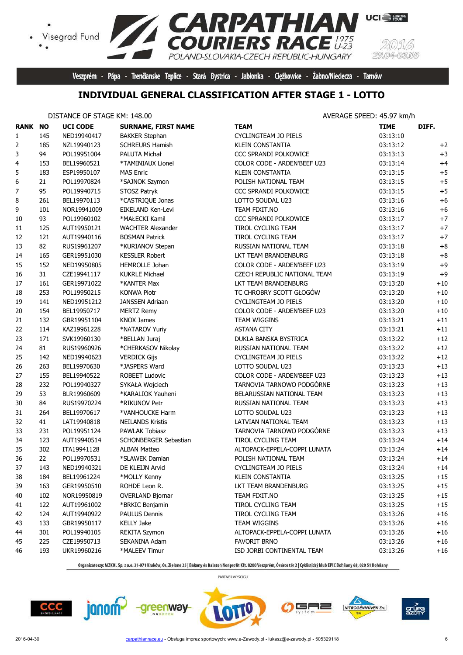

Veszprém - Pápa - Trenčianske Teplice - Stará Bystrica - Jabłonka - Ciężkowice - Żabno/Nieciecza - Tarnów

15.

# **INDIVIDUAL GENERAL CLASSIFICATION AFTER STAGE 1 - LOTTO**

 $\bullet$ 

|                | DISTANCE OF STAGE KM: 148.00 |                 |                            | AVERAGE SPEED: 45.97 km/h    |             |       |  |
|----------------|------------------------------|-----------------|----------------------------|------------------------------|-------------|-------|--|
| <b>RANK NO</b> |                              | <b>UCI CODE</b> | <b>SURNAME, FIRST NAME</b> | <b>TEAM</b>                  | <b>TIME</b> | DIFF. |  |
| $\mathbf{1}$   | 145                          | NED19940417     | <b>BAKKER Stephan</b>      | <b>CYCLINGTEAM JO PIELS</b>  | 03:13:10    |       |  |
| 2              | 185                          | NZL19940123     | <b>SCHREURS Hamish</b>     | <b>KLEIN CONSTANTIA</b>      | 03:13:12    | $+2$  |  |
| 3              | 94                           | POL19951004     | PALUTA Michał              | <b>CCC SPRANDI POLKOWICE</b> | 03:13:13    | $+3$  |  |
| 4              | 153                          | BEL19960521     | *TAMINIAUX Lionel          | COLOR CODE - ARDEN'BEEF U23  | 03:13:14    | $+4$  |  |
| 5              | 183                          | ESP19950107     | <b>MAS Enric</b>           | KLEIN CONSTANTIA             | 03:13:15    | $+5$  |  |
| 6              | 21                           | POL19970824     | *SAJNOK Szymon             | POLISH NATIONAL TEAM         | 03:13:15    | $+5$  |  |
| 7              | 95                           | POL19940715     | STOSZ Patryk               | CCC SPRANDI POLKOWICE        | 03:13:15    | $+5$  |  |
| 8              | 261                          | BEL19970113     | *CASTRIQUE Jonas           | LOTTO SOUDAL U23             | 03:13:16    | $+6$  |  |
| 9              | 101                          | NOR19941009     | EIKELAND Ken-Levi          | TEAM FIXIT.NO                | 03:13:16    | $+6$  |  |
| $10\,$         | 93                           | POL19960102     | *MAŁECKI Kamil             | CCC SPRANDI POLKOWICE        | 03:13:17    | $+7$  |  |
| 11             | 125                          | AUT19950121     | <b>WACHTER Alexander</b>   | TIROL CYCLING TEAM           | 03:13:17    | $+7$  |  |
| 12             | 121                          | AUT19940116     | <b>BOSMAN Patrick</b>      | TIROL CYCLING TEAM           | 03:13:17    | $+7$  |  |
| 13             | 82                           | RUS19961207     | *KURIANOV Stepan           | RUSSIAN NATIONAL TEAM        | 03:13:18    | $+8$  |  |
| 14             | 165                          | GER19951030     | <b>KESSLER Robert</b>      | LKT TEAM BRANDENBURG         | 03:13:18    | $+8$  |  |
| 15             | 152                          | NED19950805     | HEMROLLE Johan             | COLOR CODE - ARDEN'BEEF U23  | 03:13:19    | $+9$  |  |
| 16             | 31                           | CZE19941117     | <b>KUKRLE Michael</b>      | CZECH REPUBLIC NATIONAL TEAM | 03:13:19    | $+9$  |  |
| 17             | 161                          | GER19971022     | *KANTER Max                | LKT TEAM BRANDENBURG         | 03:13:20    | $+10$ |  |
| 18             | 253                          | POL19950215     | <b>KONWA Piotr</b>         | TC CHROBRY SCOTT GŁOGÓW      | 03:13:20    | $+10$ |  |
| 19             | 141                          | NED19951212     | JANSSEN Adriaan            | CYCLINGTEAM JO PIELS         | 03:13:20    | $+10$ |  |
| 20             | 154                          | BEL19950717     | <b>MERTZ Remy</b>          | COLOR CODE - ARDEN'BEEF U23  | 03:13:20    | $+10$ |  |
| 21             | 132                          | GBR19951104     | <b>KNOX James</b>          | TEAM WIGGINS                 | 03:13:21    | $+11$ |  |
| 22             | 114                          | KAZ19961228     | *NATAROV Yuriy             | <b>ASTANA CITY</b>           | 03:13:21    | $+11$ |  |
| 23             | 171                          | SVK19960130     | *BELLAN Juraj              | DUKLA BANSKA BYSTRICA        | 03:13:22    | $+12$ |  |
| 24             | 81                           | RUS19960926     | *CHERKASOV Nikolay         | RUSSIAN NATIONAL TEAM        | 03:13:22    | $+12$ |  |
| 25             | 142                          | NED19940623     | <b>VERDICK Gijs</b>        | CYCLINGTEAM JO PIELS         | 03:13:22    | $+12$ |  |
| 26             | 263                          | BEL19970630     | *JASPERS Ward              | LOTTO SOUDAL U23             | 03:13:23    | $+13$ |  |
| 27             | 155                          | BEL19940522     | <b>ROBEET Ludovic</b>      | COLOR CODE - ARDEN'BEEF U23  | 03:13:23    | $+13$ |  |
| 28             | 232                          | POL19940327     | SYKAŁA Wojciech            | TARNOVIA TARNOWO PODGÓRNE    | 03:13:23    | $+13$ |  |
| 29             | 53                           | BLR19960609     | *KARALIOK Yauheni          | BELARUSSIAN NATIONAL TEAM    | 03:13:23    | $+13$ |  |
| 30             | 84                           | RUS19970224     | *RIKUNOV Petr              | RUSSIAN NATIONAL TEAM        | 03:13:23    | $+13$ |  |
| 31             | 264                          | BEL19970617     | *VANHOUCKE Harm            | LOTTO SOUDAL U23             | 03:13:23    | $+13$ |  |
| 32             | 41                           | LAT19940818     | <b>NEILANDS Kristis</b>    | LATVIAN NATIONAL TEAM        | 03:13:23    | $+13$ |  |
| 33             | 231                          | POL19951124     | PAWLAK Tobiasz             | TARNOVIA TARNOWO PODGÓRNE    | 03:13:23    | $+13$ |  |
| 34             | 123                          | AUT19940514     | SCHONBERGER Sebastian      | TIROL CYCLING TEAM           | 03:13:24    | $+14$ |  |
|                | 302                          | ITA19941128     | <b>ALBAN Matteo</b>        | ALTOPACK-EPPELA-COPPI LUNATA | 03:13:24    | $+14$ |  |
| 35             | 22                           |                 |                            |                              |             |       |  |
| 36             |                              | POL19970531     | *SLAWEK Damian             | POLISH NATIONAL TEAM         | 03:13:24    | $+14$ |  |
| 37             | 143                          | NED19940321     | DE KLEIJN Arvid            | CYCLINGTEAM JO PIELS         | 03:13:24    | $+14$ |  |
| 38             | 184                          | BEL19961224     | *MOLLY Kenny               | KLEIN CONSTANTIA             | 03:13:25    | $+15$ |  |
| 39             | 163                          | GER19950510     | ROHDE Leon R.              | LKT TEAM BRANDENBURG         | 03:13:25    | $+15$ |  |
| 40             | 102                          | NOR19950819     | <b>OVERLAND Bjornar</b>    | TEAM FIXIT.NO                | 03:13:25    | $+15$ |  |
| 41             | 122                          | AUT19961002     | *BRKIC Benjamin            | TIROL CYCLING TEAM           | 03:13:25    | $+15$ |  |
| 42             | 124                          | AUT19940922     | <b>PAULUS Dennis</b>       | TIROL CYCLING TEAM           | 03:13:26    | $+16$ |  |
| 43             | 133                          | GBR19950117     | <b>KELLY Jake</b>          | TEAM WIGGINS                 | 03:13:26    | $+16$ |  |
| 44             | 301                          | POL19940105     | <b>REKITA Szymon</b>       | ALTOPACK-EPPELA-COPPI LUNATA | 03:13:26    | $+16$ |  |
| 45             | 225                          | CZE19950713     | SEKANINA Adam              | <b>FAVORIT BRNO</b>          | 03:13:26    | $+16$ |  |
| 46             | 193                          | UKR19960216     | *MALEEV Timur              | ISD JORBI CONTINENTAL TEAM   | 03:13:26    | $+16$ |  |

Organizatorzy: MZKOL Sp. z o.o. 31-971 Kraków, Os. Zielone 25 | Bakony és Balaton Nonprofit Kft. 8200 Veszprém, Óváros tér 2 | Cyklistický klub EPIC Dohňany 68, 020 51 Dohňany









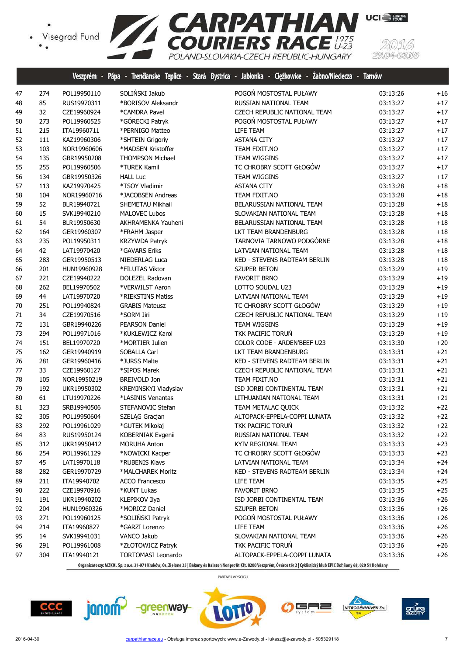

|    |     | Veszprém -  | Pápa<br>Trenäanske Teplice -<br>- 1 | Stará Bystrica - Jabłonka - Ciężkowice - Żabno/Nieciecza - | <b>Tamów</b> |       |
|----|-----|-------------|-------------------------------------|------------------------------------------------------------|--------------|-------|
| 47 | 274 | POL19950110 | SOLIŃSKI Jakub                      | POGOŃ MOSTOSTAL PUŁAWY                                     | 03:13:26     | $+16$ |
| 48 | 85  | RUS19970311 | *BORISOV Aleksandr                  | RUSSIAN NATIONAL TEAM                                      | 03:13:27     | $+17$ |
| 49 | 32  | CZE19960924 | *CAMDRA Pavel                       | CZECH REPUBLIC NATIONAL TEAM                               | 03:13:27     | $+17$ |
| 50 | 273 | POL19960525 | *GÓRECKI Patryk                     | POGOŃ MOSTOSTAL PUŁAWY                                     | 03:13:27     | $+17$ |
| 51 | 215 | ITA19960711 | *PERNIGO Matteo                     | LIFE TEAM                                                  | 03:13:27     | $+17$ |
| 52 | 111 | KAZ19960306 | *SHTEIN Grigoriy                    | <b>ASTANA CITY</b>                                         | 03:13:27     | $+17$ |
| 53 | 103 | NOR19960606 | *MADSEN Kristoffer                  | TEAM FIXIT.NO                                              | 03:13:27     | $+17$ |
| 54 | 135 | GBR19950208 | <b>THOMPSON Michael</b>             | TEAM WIGGINS                                               | 03:13:27     | $+17$ |
| 55 | 255 | POL19960506 | *TUREK Kamil                        | TC CHROBRY SCOTT GŁOGÓW                                    | 03:13:27     | $+17$ |
| 56 | 134 | GBR19950326 | <b>HALL Luc</b>                     | <b>TEAM WIGGINS</b>                                        | 03:13:27     | $+17$ |
| 57 | 113 | KAZ19970425 | *TSOY Vladimir                      | <b>ASTANA CITY</b>                                         | 03:13:28     | $+18$ |
| 58 | 104 | NOR19960716 | *JACOBSEN Andreas                   | TEAM FIXIT.NO                                              | 03:13:28     | $+18$ |
| 59 | 52  | BLR19940721 | SHEMETAU Mikhail                    | BELARUSSIAN NATIONAL TEAM                                  | 03:13:28     | $+18$ |
| 60 | 15  | SVK19940210 | <b>MALOVEC Lubos</b>                | SLOVAKIAN NATIONAL TEAM                                    | 03:13:28     | $+18$ |
| 61 | 54  | BLR19950630 | AKHRAMENKA Yauheni                  | BELARUSSIAN NATIONAL TEAM                                  | 03:13:28     | $+18$ |
| 62 | 164 | GER19960307 | *FRAHM Jasper                       | LKT TEAM BRANDENBURG                                       | 03:13:28     | $+18$ |
| 63 | 235 | POL19950311 | KRZYWDA Patryk                      | TARNOVIA TARNOWO PODGÓRNE                                  | 03:13:28     | $+18$ |
| 64 | 42  | LAT19970420 | *GAVARS Eriks                       | LATVIAN NATIONAL TEAM                                      | 03:13:28     | $+18$ |
| 65 | 283 | GER19950513 | NIEDERLAG Luca                      | KED - STEVENS RADTEAM BERLIN                               | 03:13:28     | $+18$ |
| 66 | 201 | HUN19960928 | *FILUTAS Viktor                     | <b>SZUPER BETON</b>                                        | 03:13:29     | $+19$ |
| 67 | 221 | CZE19940222 | <b>DOLEZEL Radovan</b>              | <b>FAVORIT BRNO</b>                                        | 03:13:29     | $+19$ |
| 68 | 262 | BEL19970502 | *VERWILST Aaron                     | LOTTO SOUDAL U23                                           | 03:13:29     | $+19$ |
| 69 | 44  | LAT19970720 | *RIEKSTINS Matiss                   | LATVIAN NATIONAL TEAM                                      | 03:13:29     | $+19$ |
| 70 | 251 | POL19940824 | <b>GRABIS Mateusz</b>               | TC CHROBRY SCOTT GŁOGÓW                                    | 03:13:29     | $+19$ |
| 71 | 34  | CZE19970516 | *SORM Jiri                          | CZECH REPUBLIC NATIONAL TEAM                               | 03:13:29     | $+19$ |
| 72 | 131 | GBR19940226 | PEARSON Daniel                      | <b>TEAM WIGGINS</b>                                        | 03:13:29     | $+19$ |
| 73 | 294 | POL19971016 | *KUKLEWICZ Karol                    | TKK PACIFIC TORUŃ                                          | 03:13:29     | $+19$ |
| 74 | 151 | BEL19970720 | *MORTIER Julien                     | COLOR CODE - ARDEN'BEEF U23                                | 03:13:30     | $+20$ |
| 75 | 162 | GER19940919 | SOBALLA Carl                        | LKT TEAM BRANDENBURG                                       | 03:13:31     | $+21$ |
| 76 | 281 | GER19960416 | *JURSS Malte                        | KED - STEVENS RADTEAM BERLIN                               | 03:13:31     | $+21$ |
| 77 | 33  | CZE19960127 | *SIPOS Marek                        | CZECH REPUBLIC NATIONAL TEAM                               | 03:13:31     | $+21$ |
| 78 | 105 | NOR19950219 | BREIVOLD Jon                        | TEAM FIXIT.NO                                              | 03:13:31     | $+21$ |
| 79 | 192 | UKR19950302 | KREMINSKYI Vladyslav                | ISD JORBI CONTINENTAL TEAM                                 | 03:13:31     | $+21$ |
| 80 | 61  | LTU19970226 | *LASINIS Venantas                   | LITHUANIAN NATIONAL TEAM                                   | 03:13:31     | $+21$ |
| 81 | 323 | SRB19940506 | STEFANOVIC Stefan                   | TEAM METALAC QUICK                                         | 03:13:32     | $+22$ |
| 82 | 305 | POL19950604 | SZELĄG Gracjan                      | ALTOPACK-EPPELA-COPPI LUNATA                               | 03:13:32     | $+22$ |
| 83 | 292 | POL19961029 | *GUTEK Mikołaj                      | TKK PACIFIC TORUN                                          | 03:13:32     | $+22$ |
| 84 | 83  | RUS19950124 | KOBERNIAK Evgenii                   | RUSSIAN NATIONAL TEAM                                      | 03:13:32     | $+22$ |
| 85 | 312 | UKR19950412 | MORUHA Anton                        | KYIV REGIONAL TEAM                                         | 03:13:33     | $+23$ |
| 86 | 254 | POL19961129 | *NOWICKI Kacper                     | TC CHROBRY SCOTT GŁOGÓW                                    | 03:13:33     | $+23$ |
| 87 | 45  | LAT19970118 | *RUBENIS Klavs                      | LATVIAN NATIONAL TEAM                                      | 03:13:34     | $+24$ |
| 88 | 282 | GER19970729 | *MALCHAREK Moritz                   | KED - STEVENS RADTEAM BERLIN                               | 03:13:34     | $+24$ |
| 89 | 211 | ITA19940702 | <b>ACCO Francesco</b>               | LIFE TEAM                                                  | 03:13:35     | $+25$ |
| 90 | 222 | CZE19970916 | *KUNT Lukas                         | <b>FAVORIT BRNO</b>                                        | 03:13:35     | $+25$ |
| 91 | 191 | UKR19940202 | KLEPIKOV Ilya                       | ISD JORBI CONTINENTAL TEAM                                 | 03:13:36     | $+26$ |
| 92 | 204 | HUN19960326 | *MORICZ Daniel                      | <b>SZUPER BETON</b>                                        | 03:13:36     | $+26$ |
| 93 | 271 | POL19960125 | *SOLIŃSKI Patryk                    | POGOŃ MOSTOSTAL PUŁAWY                                     | 03:13:36     | $+26$ |
| 94 | 214 | ITA19960827 | *GARZI Lorenzo                      | LIFE TEAM                                                  | 03:13:36     | $+26$ |
| 95 | 14  | SVK19941031 | VANCO Jakub                         | SLOVAKIAN NATIONAL TEAM                                    | 03:13:36     | $+26$ |
| 96 | 291 | POL19961008 | *ZŁOTOWICZ Patryk                   | TKK PACIFIC TORUŃ                                          | 03:13:36     | $+26$ |
| 97 | 304 | ITA19940121 | <b>TORTOMASI Leonardo</b>           | ALTOPACK-EPPELA-COPPI LUNATA                               | 03:13:36     | $+26$ |

Organizatorzy: MZKOL Sp. z o.o. 31-971 Kraków, Os. Zielone 25 | Bakony és Balaton Nonprofit Kft. 8200 Veszprém, Óváros tér 2 | Cyklistický klub EPIC Dohňany 68, 020 51 Dohňany

PARTNER WYŚCIGU











(5)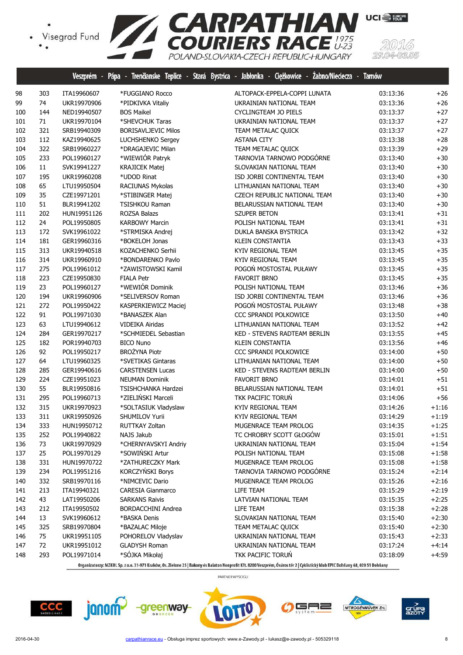

|     |     |             |                            | Veszprém - Pápa - Trenčianske Teplice - Stará Bystrica - Jabłonka - Ciężkowice - Zabno/Nieciecza - Tarnów |          |         |
|-----|-----|-------------|----------------------------|-----------------------------------------------------------------------------------------------------------|----------|---------|
| 98  | 303 | ITA19960607 | *FUGGIANO Rocco            | ALTOPACK-EPPELA-COPPI LUNATA                                                                              | 03:13:36 | $+26$   |
| 99  | 74  | UKR19970906 | *PIDKIVKA Vitaliy          | UKRAINIAN NATIONAL TEAM                                                                                   | 03:13:36 | $+26$   |
| 100 | 144 | NED19940507 | <b>BOS Maikel</b>          | CYCLINGTEAM JO PIELS                                                                                      | 03:13:37 | $+27$   |
| 101 | 71  | UKR19970104 | *SHEVCHUK Taras            | UKRAINIAN NATIONAL TEAM                                                                                   | 03:13:37 | $+27$   |
| 102 | 321 | SRB19940309 | <b>BORISAVLJEVIC Milos</b> | TEAM METALAC QUICK                                                                                        | 03:13:37 | $+27$   |
| 103 | 112 | KAZ19940625 | LUCHSHENKO Sergey          | <b>ASTANA CITY</b>                                                                                        | 03:13:38 | $+28$   |
| 104 | 322 | SRB19960227 | *DRAGAJEVIC Milan          | TEAM METALAC QUICK                                                                                        | 03:13:39 | $+29$   |
| 105 | 233 | POL19960127 | *WIEWIÓR Patryk            | TARNOVIA TARNOWO PODGÓRNE                                                                                 | 03:13:40 | $+30$   |
| 106 | 11  | SVK19941227 | <b>KRAJICEK Matej</b>      | SLOVAKIAN NATIONAL TEAM                                                                                   | 03:13:40 | $+30$   |
| 107 | 195 | UKR19960208 | *UDOD Rinat                | ISD JORBI CONTINENTAL TEAM                                                                                | 03:13:40 | $+30$   |
| 108 | 65  | LTU19950504 | RACIUNAS Mykolas           | LITHUANIAN NATIONAL TEAM                                                                                  | 03:13:40 | $+30$   |
| 109 | 35  | CZE19971201 | *STIBINGER Matej           | CZECH REPUBLIC NATIONAL TEAM                                                                              | 03:13:40 | $+30$   |
| 110 | 51  | BLR19941202 | <b>TSISHKOU Raman</b>      | BELARUSSIAN NATIONAL TEAM                                                                                 | 03:13:40 | $+30$   |
| 111 | 202 | HUN19951126 | ROZSA Balazs               | SZUPER BETON                                                                                              | 03:13:41 | $+31$   |
| 112 | 24  | POL19950805 | <b>KARBOWY Marcin</b>      | POLISH NATIONAL TEAM                                                                                      | 03:13:41 | $+31$   |
| 113 | 172 | SVK19961022 | *STRMISKA Andrej           | DUKLA BANSKA BYSTRICA                                                                                     | 03:13:42 | $+32$   |
| 114 | 181 | GER19960316 | *BOKELOH Jonas             | KLEIN CONSTANTIA                                                                                          | 03:13:43 | $+33$   |
| 115 | 313 | UKR19940518 | KOZACHENKO Serhii          | KYIV REGIONAL TEAM                                                                                        | 03:13:45 | $+35$   |
| 116 | 314 | UKR19960910 | *BONDARENKO Pavlo          | KYIV REGIONAL TEAM                                                                                        | 03:13:45 | $+35$   |
| 117 | 275 | POL19961012 | *ZAWISTOWSKI Kamil         | POGOŃ MOSTOSTAL PUŁAWY                                                                                    | 03:13:45 | $+35$   |
| 118 | 223 | CZE19950830 | <b>FIALA Petr</b>          | <b>FAVORIT BRNO</b>                                                                                       | 03:13:45 | $+35$   |
| 119 | 23  | POL19960127 | *WEWIÓR Dominik            | POLISH NATIONAL TEAM                                                                                      | 03:13:46 | $+36$   |
| 120 | 194 | UKR19960906 | *SELIVERSOV Roman          | ISD JORBI CONTINENTAL TEAM                                                                                | 03:13:46 | $+36$   |
| 121 | 272 | POL19950422 | KASPERKIEWICZ Maciej       | POGOŃ MOSTOSTAL PUŁAWY                                                                                    | 03:13:48 | $+38$   |
| 122 | 91  | POL19971030 | *BANASZEK Alan             | CCC SPRANDI POLKOWICE                                                                                     | 03:13:50 | $+40$   |
| 123 | 63  | LTU19940612 | <b>VIDEIKA Airidas</b>     | LITHUANIAN NATIONAL TEAM                                                                                  | 03:13:52 | $+42$   |
| 124 | 284 | GER19970217 | *SCHMIEDEL Sebastian       | KED - STEVENS RADTEAM BERLIN                                                                              | 03:13:55 | $+45$   |
| 125 | 182 | POR19940703 | <b>BICO Nuno</b>           | KLEIN CONSTANTIA                                                                                          | 03:13:56 | $+46$   |
| 126 | 92  | POL19950217 | <b>BROŻYNA Piotr</b>       | CCC SPRANDI POLKOWICE                                                                                     | 03:14:00 | $+50$   |
| 127 | 64  | LTU19960325 | *SVETIKAS Gintaras         | LITHUANIAN NATIONAL TEAM                                                                                  | 03:14:00 | $+50$   |
| 128 | 285 | GER19940616 | <b>CARSTENSEN Lucas</b>    | KED - STEVENS RADTEAM BERLIN                                                                              | 03:14:00 | $+50$   |
| 129 | 224 | CZE19951023 | <b>NEUMAN Dominik</b>      | <b>FAVORIT BRNO</b>                                                                                       | 03:14:01 | $+51$   |
| 130 | 55  | BLR19950816 | TSISHCHANKA Hardzei        | BELARUSSIAN NATIONAL TEAM                                                                                 | 03:14:01 | $+51$   |
| 131 | 295 | POL19960713 | *ZIELIŃSKI Marceli         | TKK PACIFIC TORUŃ                                                                                         | 03:14:06 | $+56$   |
| 132 | 315 | UKR19970923 | *SOLTASIUK Vladyslaw       | KYIV REGIONAL TEAM                                                                                        | 03:14:26 | $+1:16$ |
| 133 | 311 | UKR19950926 | <b>SHUMILOV Yurii</b>      | KYIV REGIONAL TEAM                                                                                        | 03:14:29 | $+1:19$ |
| 134 | 333 | HUN19950712 | RUTTKAY Zoltan             | MUGENRACE TEAM PROLOG                                                                                     | 03:14:35 | $+1:25$ |
| 135 | 252 | POL19940822 | NAJS Jakub                 | TC CHROBRY SCOTT GŁOGÓW                                                                                   | 03:15:01 | $+1:51$ |
| 136 | 73  | UKR19970929 | *CHERNYAVSKYI Andriy       | UKRAINIAN NATIONAL TEAM                                                                                   | 03:15:04 | $+1:54$ |
| 137 | 25  | POL19970129 | *SOWIŃSKI Artur            | POLISH NATIONAL TEAM                                                                                      | 03:15:08 | $+1:58$ |
| 138 | 331 | HUN19970722 | *ZATHURECZKY Mark          | MUGENRACE TEAM PROLOG                                                                                     | 03:15:08 | $+1:58$ |
| 139 | 234 | POL19951216 | KORCZYŃSKI Borys           | TARNOVIA TARNOWO PODGÓRNE                                                                                 | 03:15:24 | $+2:14$ |
| 140 | 332 | SRB19970116 | *NIMCEVIC Dario            | MUGENRACE TEAM PROLOG                                                                                     | 03:15:26 | $+2:16$ |
| 141 | 213 | ITA19940321 | <b>CARESIA Gianmarco</b>   | LIFE TEAM                                                                                                 | 03:15:29 | $+2:19$ |
| 142 | 43  | LAT19950206 | <b>SARKANS Raivis</b>      | LATVIAN NATIONAL TEAM                                                                                     | 03:15:35 | $+2:25$ |
| 143 | 212 | ITA19950502 | BORDACCHINI Andrea         | LIFE TEAM                                                                                                 | 03:15:38 | $+2:28$ |
| 144 | 13  | SVK19960612 | *BASKA Denis               | SLOVAKIAN NATIONAL TEAM                                                                                   | 03:15:40 | $+2:30$ |
| 145 | 325 | SRB19970804 | *BAZALAC Miloje            | TEAM METALAC QUICK                                                                                        | 03:15:40 | $+2:30$ |
| 146 | 75  | UKR19951105 | POHORELOV Vladyslav        | UKRAINIAN NATIONAL TEAM                                                                                   | 03:15:43 | $+2:33$ |
| 147 | 72  | UKR19951012 | <b>GLADYSH Roman</b>       | UKRAINIAN NATIONAL TEAM                                                                                   | 03:17:24 | $+4:14$ |
| 148 | 293 | POL19971014 | *SÓJKA Mikołaj             | TKK PACIFIC TORUŃ                                                                                         | 03:18:09 | $+4:59$ |

Organizatorzy: MZKOL Sp. z o.o. 31-971 Kraków, Os. Zielone 25 | Bakony és Balaton Nonprofit Kft. 8200 Veszprém, Óváros tér 2 | Cyklistický klub EPIC Dohňany 68, 020 51 Dohňany









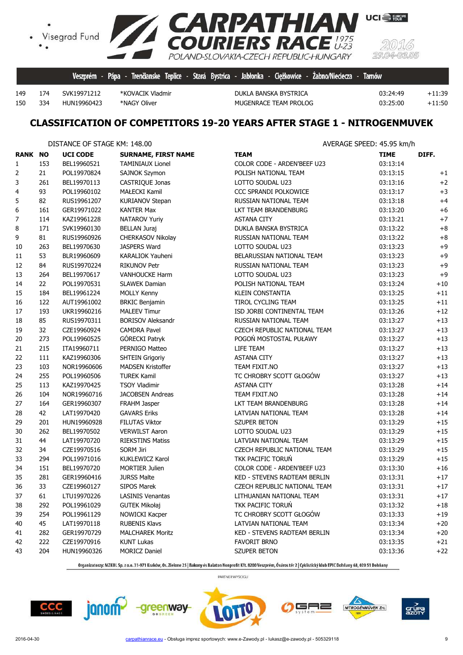

334 HUN19960423 \*NAGY Oliver MUGENRACE TEAM PROLOG 03:25:00 +11:50

174 SVK19971212 \*KOVACIK Vladmir DUKLA BANSKA BYSTRICA 03:24:49 +11:39

**UCI** EUROPE

## **CLASSIFICATION OF COMPETITORS 19-20 YEARS AFTER STAGE 1 - NITROGENMUVEK**

|                |     | DISTANCE OF STAGE KM: 148.00 |                            | AVERAGE SPEED: 45.95 km/h    |             |       |
|----------------|-----|------------------------------|----------------------------|------------------------------|-------------|-------|
| <b>RANK NO</b> |     | <b>UCI CODE</b>              | <b>SURNAME, FIRST NAME</b> | <b>TEAM</b>                  | <b>TIME</b> | DIFF. |
| $\mathbf{1}$   | 153 | BEL19960521                  | <b>TAMINIAUX Lionel</b>    | COLOR CODE - ARDEN'BEEF U23  | 03:13:14    |       |
| 2              | 21  | POL19970824                  | SAJNOK Szymon              | POLISH NATIONAL TEAM         | 03:13:15    | $+1$  |
| 3              | 261 | BEL19970113                  | CASTRIQUE Jonas            | LOTTO SOUDAL U23             | 03:13:16    | $+2$  |
| 4              | 93  | POL19960102                  | <b>MAŁECKI Kamil</b>       | CCC SPRANDI POLKOWICE        | 03:13:17    | $+3$  |
| 5              | 82  | RUS19961207                  | <b>KURIANOV Stepan</b>     | RUSSIAN NATIONAL TEAM        | 03:13:18    | $+4$  |
| 6              | 161 | GER19971022                  | <b>KANTER Max</b>          | LKT TEAM BRANDENBURG         | 03:13:20    | $+6$  |
| 7              | 114 | KAZ19961228                  | NATAROV Yuriy              | <b>ASTANA CITY</b>           | 03:13:21    | $+7$  |
| 8              | 171 | SVK19960130                  | <b>BELLAN Juraj</b>        | DUKLA BANSKA BYSTRICA        | 03:13:22    | $+8$  |
| 9              | 81  | RUS19960926                  | CHERKASOV Nikolay          | RUSSIAN NATIONAL TEAM        | 03:13:22    | $+8$  |
| 10             | 263 | BEL19970630                  | JASPERS Ward               | LOTTO SOUDAL U23             | 03:13:23    | $+9$  |
| 11             | 53  | BLR19960609                  | KARALIOK Yauheni           | BELARUSSIAN NATIONAL TEAM    | 03:13:23    | $+9$  |
| 12             | 84  | RUS19970224                  | <b>RIKUNOV Petr</b>        | RUSSIAN NATIONAL TEAM        | 03:13:23    | $+9$  |
| 13             | 264 | BEL19970617                  | <b>VANHOUCKE Harm</b>      | LOTTO SOUDAL U23             | 03:13:23    | $+9$  |
| 14             | 22  | POL19970531                  | <b>SLAWEK Damian</b>       | POLISH NATIONAL TEAM         | 03:13:24    | $+10$ |
| 15             | 184 | BEL19961224                  | <b>MOLLY Kenny</b>         | <b>KLEIN CONSTANTIA</b>      | 03:13:25    | $+11$ |
| 16             | 122 | AUT19961002                  | <b>BRKIC Benjamin</b>      | TIROL CYCLING TEAM           | 03:13:25    | $+11$ |
| 17             | 193 | UKR19960216                  | <b>MALEEV Timur</b>        | ISD JORBI CONTINENTAL TEAM   | 03:13:26    | $+12$ |
| 18             | 85  | RUS19970311                  | <b>BORISOV Aleksandr</b>   | RUSSIAN NATIONAL TEAM        | 03:13:27    | $+13$ |
| 19             | 32  | CZE19960924                  | <b>CAMDRA Pavel</b>        | CZECH REPUBLIC NATIONAL TEAM | 03:13:27    | $+13$ |
| 20             | 273 | POL19960525                  | GÓRECKI Patryk             | POGOŃ MOSTOSTAL PUŁAWY       | 03:13:27    | $+13$ |
| 21             | 215 | ITA19960711                  | PERNIGO Matteo             | LIFE TEAM                    | 03:13:27    | $+13$ |
| 22             | 111 | KAZ19960306                  | <b>SHTEIN Grigoriy</b>     | <b>ASTANA CITY</b>           | 03:13:27    | $+13$ |
| 23             | 103 | NOR19960606                  | <b>MADSEN Kristoffer</b>   | TEAM FIXIT.NO                | 03:13:27    | $+13$ |
| 24             | 255 | POL19960506                  | <b>TUREK Kamil</b>         | TC CHROBRY SCOTT GŁOGÓW      | 03:13:27    | $+13$ |
| 25             | 113 | KAZ19970425                  | <b>TSOY Vladimir</b>       | <b>ASTANA CITY</b>           | 03:13:28    | $+14$ |
| 26             | 104 | NOR19960716                  | <b>JACOBSEN Andreas</b>    | TEAM FIXIT.NO                | 03:13:28    | $+14$ |
| 27             | 164 | GER19960307                  | FRAHM Jasper               | LKT TEAM BRANDENBURG         | 03:13:28    | $+14$ |
| 28             | 42  | LAT19970420                  | <b>GAVARS Eriks</b>        | LATVIAN NATIONAL TEAM        | 03:13:28    | $+14$ |
| 29             | 201 | HUN19960928                  | <b>FILUTAS Viktor</b>      | <b>SZUPER BETON</b>          | 03:13:29    | $+15$ |
| 30             | 262 | BEL19970502                  | <b>VERWILST Aaron</b>      | LOTTO SOUDAL U23             | 03:13:29    | $+15$ |
| 31             | 44  | LAT19970720                  | <b>RIEKSTINS Matiss</b>    | LATVIAN NATIONAL TEAM        | 03:13:29    | $+15$ |
| 32             | 34  | CZE19970516                  | <b>SORM Jiri</b>           | CZECH REPUBLIC NATIONAL TEAM | 03:13:29    | $+15$ |
| 33             | 294 | POL19971016                  | KUKLEWICZ Karol            | TKK PACIFIC TORUN            | 03:13:29    | $+15$ |
| 34             | 151 | BEL19970720                  | <b>MORTIER Julien</b>      | COLOR CODE - ARDEN'BEEF U23  | 03:13:30    | $+16$ |
| 35             | 281 | GER19960416                  | <b>JURSS Malte</b>         | KED - STEVENS RADTEAM BERLIN | 03:13:31    | $+17$ |
| 36             | 33  | CZE19960127                  | <b>SIPOS Marek</b>         | CZECH REPUBLIC NATIONAL TEAM | 03:13:31    | $+17$ |
| 37             | 61  | LTU19970226                  | <b>LASINIS Venantas</b>    | LITHUANIAN NATIONAL TEAM     | 03:13:31    | $+17$ |
| 38             | 292 | POL19961029                  | <b>GUTEK Mikołaj</b>       | TKK PACIFIC TORUN            | 03:13:32    | $+18$ |
| 39             | 254 | POL19961129                  | NOWICKI Kacper             | TC CHROBRY SCOTT GŁOGÓW      | 03:13:33    | $+19$ |
| 40             | 45  | LAT19970118                  | <b>RUBENIS Klavs</b>       | LATVIAN NATIONAL TEAM        | 03:13:34    | $+20$ |
| 41             | 282 | GER19970729                  | <b>MALCHAREK Moritz</b>    | KED - STEVENS RADTEAM BERLIN | 03:13:34    | $+20$ |
| 42             | 222 | CZE19970916                  | <b>KUNT Lukas</b>          | <b>FAVORIT BRNO</b>          | 03:13:35    | $+21$ |
| 43             | 204 | HUN19960326                  | <b>MORICZ Daniel</b>       | SZUPER BETON                 | 03:13:36    | $+22$ |

Organizatorzy: MZKOL Sp. z o.o. 31-971 Kraków, Os. Zielone 25 | Bakony és Balaton Nonprofit Kft. 8200 Veszprém, Óváros tér 2 | Cyklistický klub EPIC Dohňany 68, 020 51 Dohňany







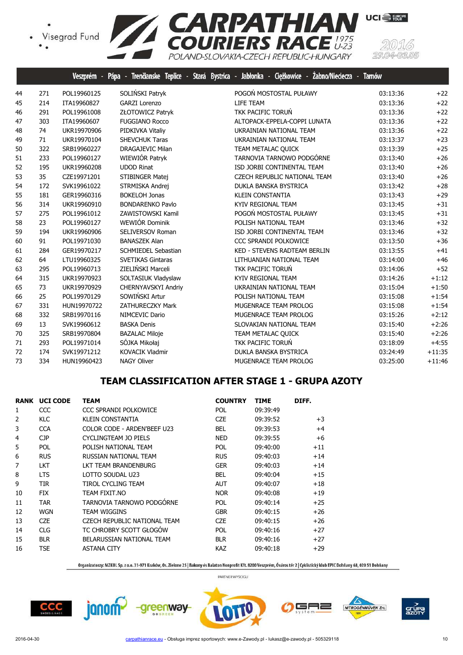

|    |     | Veszprém -  | Trenäanske Teplice -<br>Pápa | Jabłonka - Ciężkowice -<br>Žabno/Nieciecza -<br>Stará Bystrica | <b>Tarnów</b> |          |
|----|-----|-------------|------------------------------|----------------------------------------------------------------|---------------|----------|
| 44 | 271 | POL19960125 | SOLIŃSKI Patryk              | POGOŃ MOSTOSTAL PUŁAWY                                         | 03:13:36      | $+22$    |
| 45 | 214 | ITA19960827 | <b>GARZI Lorenzo</b>         | LIFE TEAM                                                      | 03:13:36      | $+22$    |
| 46 | 291 | POL19961008 | ZŁOTOWICZ Patryk             | TKK PACIFIC TORUŃ                                              | 03:13:36      | $+22$    |
| 47 | 303 | ITA19960607 | <b>FUGGIANO Rocco</b>        | ALTOPACK-EPPELA-COPPI LUNATA                                   | 03:13:36      | $+22$    |
| 48 | 74  | UKR19970906 | PIDKIVKA Vitaliy             | UKRAINIAN NATIONAL TEAM                                        | 03:13:36      | $+22$    |
| 49 | 71  | UKR19970104 | <b>SHEVCHUK Taras</b>        | UKRAINIAN NATIONAL TEAM                                        | 03:13:37      | $+23$    |
| 50 | 322 | SRB19960227 | <b>DRAGAJEVIC Milan</b>      | TEAM METALAC QUICK                                             | 03:13:39      | $+25$    |
| 51 | 233 | POL19960127 | WIEWIÓR Patryk               | TARNOVIA TARNOWO PODGÓRNE                                      | 03:13:40      | $+26$    |
| 52 | 195 | UKR19960208 | <b>UDOD Rinat</b>            | ISD JORBI CONTINENTAL TEAM                                     | 03:13:40      | $+26$    |
| 53 | 35  | CZE19971201 | STIBINGER Matej              | CZECH REPUBLIC NATIONAL TEAM                                   | 03:13:40      | $+26$    |
| 54 | 172 | SVK19961022 | STRMISKA Andrej              | DUKLA BANSKA BYSTRICA                                          | 03:13:42      | $+28$    |
| 55 | 181 | GER19960316 | <b>BOKELOH Jonas</b>         | <b>KLEIN CONSTANTIA</b>                                        | 03:13:43      | $+29$    |
| 56 | 314 | UKR19960910 | <b>BONDARENKO Pavlo</b>      | KYIV REGIONAL TEAM                                             | 03:13:45      | $+31$    |
| 57 | 275 | POL19961012 | ZAWISTOWSKI Kamil            | POGOŃ MOSTOSTAL PUŁAWY                                         | 03:13:45      | $+31$    |
| 58 | 23  | POL19960127 | WEWIÓR Dominik               | POLISH NATIONAL TEAM                                           | 03:13:46      | $+32$    |
| 59 | 194 | UKR19960906 | SELIVERSOV Roman             | ISD JORBI CONTINENTAL TEAM                                     | 03:13:46      | $+32$    |
| 60 | 91  | POL19971030 | <b>BANASZEK Alan</b>         | CCC SPRANDI POLKOWICE                                          | 03:13:50      | $+36$    |
| 61 | 284 | GER19970217 | <b>SCHMIEDEL Sebastian</b>   | KED - STEVENS RADTEAM BERLIN                                   | 03:13:55      | $+41$    |
| 62 | 64  | LTU19960325 | <b>SVETIKAS Gintaras</b>     | LITHUANIAN NATIONAL TEAM                                       | 03:14:00      | $+46$    |
| 63 | 295 | POL19960713 | ZIELIŃSKI Marceli            | TKK PACIFIC TORUŃ                                              | 03:14:06      | $+52$    |
| 64 | 315 | UKR19970923 | SOLTASIUK Vladyslaw          | KYIV REGIONAL TEAM                                             | 03:14:26      | $+1:12$  |
| 65 | 73  | UKR19970929 | CHERNYAVSKYI Andriy          | UKRAINIAN NATIONAL TEAM                                        | 03:15:04      | $+1:50$  |
| 66 | 25  | POL19970129 | SOWIŃSKI Artur               | POLISH NATIONAL TEAM                                           | 03:15:08      | $+1:54$  |
| 67 | 331 | HUN19970722 | <b>ZATHURECZKY Mark</b>      | MUGENRACE TEAM PROLOG                                          | 03:15:08      | $+1:54$  |
| 68 | 332 | SRB19970116 | NIMCEVIC Dario               | MUGENRACE TEAM PROLOG                                          | 03:15:26      | $+2:12$  |
| 69 | 13  | SVK19960612 | <b>BASKA Denis</b>           | SLOVAKIAN NATIONAL TEAM                                        | 03:15:40      | $+2:26$  |
| 70 | 325 | SRB19970804 | <b>BAZALAC Miloje</b>        | TEAM METALAC QUICK                                             | 03:15:40      | $+2:26$  |
| 71 | 293 | POL19971014 | SÓJKA Mikołaj                | TKK PACIFIC TORUŃ                                              | 03:18:09      | $+4:55$  |
| 72 | 174 | SVK19971212 | <b>KOVACIK Vladmir</b>       | DUKLA BANSKA BYSTRICA                                          | 03:24:49      | $+11:35$ |
| 73 | 334 | HUN19960423 | <b>NAGY Oliver</b>           | MUGENRACE TEAM PROLOG                                          | 03:25:00      | $+11:46$ |

## **TEAM CLASSIFICATION AFTER STAGE 1 - GRUPA AZOTY**

|    | <b>RANK UCI CODE</b> | <b>TEAM</b>                  | <b>COUNTRY</b> | <b>TIME</b> | DIFF. |
|----|----------------------|------------------------------|----------------|-------------|-------|
| 1  | CCC                  | CCC SPRANDI POLKOWICE        | <b>POL</b>     | 09:39:49    |       |
| 2  | <b>KLC</b>           | KLEIN CONSTANTIA             | <b>CZE</b>     | 09:39:52    | $+3$  |
| 3  | <b>CCA</b>           | COLOR CODE - ARDEN'BEEF U23  | <b>BEL</b>     | 09:39:53    | $+4$  |
| 4  | CJP                  | CYCLINGTEAM JO PIELS         | <b>NED</b>     | 09:39:55    | $+6$  |
| 5  | <b>POL</b>           | POLISH NATIONAL TEAM         | <b>POL</b>     | 09:40:00    | $+11$ |
| 6  | <b>RUS</b>           | RUSSIAN NATIONAL TEAM        | <b>RUS</b>     | 09:40:03    | $+14$ |
| 7  | <b>LKT</b>           | LKT TEAM BRANDENBURG         | <b>GER</b>     | 09:40:03    | $+14$ |
| 8  | <b>LTS</b>           | LOTTO SOUDAL U23             | <b>BEL</b>     | 09:40:04    | $+15$ |
| 9  | <b>TIR</b>           | TIROL CYCLING TEAM           | <b>AUT</b>     | 09:40:07    | $+18$ |
| 10 | <b>FIX</b>           | TEAM FIXIT.NO                | <b>NOR</b>     | 09:40:08    | $+19$ |
| 11 | <b>TAR</b>           | TARNOVIA TARNOWO PODGÓRNE    | <b>POL</b>     | 09:40:14    | $+25$ |
| 12 | <b>WGN</b>           | TEAM WIGGINS                 | <b>GBR</b>     | 09:40:15    | $+26$ |
| 13 | <b>CZE</b>           | CZECH REPUBLIC NATIONAL TEAM | <b>CZE</b>     | 09:40:15    | $+26$ |
| 14 | <b>CLG</b>           | TC CHROBRY SCOTT GŁOGÓW      | <b>POL</b>     | 09:40:16    | $+27$ |
| 15 | <b>BLR</b>           | BELARUSSIAN NATIONAL TEAM    | <b>BLR</b>     | 09:40:16    | $+27$ |
| 16 | <b>TSE</b>           | <b>ASTANA CITY</b>           | <b>KAZ</b>     | 09:40:18    | $+29$ |
|    |                      |                              |                |             |       |

-greenway-

Organizatorzy: MZKOL Sp. z o.o. 31-971 Kraków, Os. Zielone 25 | Bakony és Balaton Nonprofit Kft. 8200 Veszprém, Óváros tér 2 | Cyklistický klub EPIC Dohňany 68, 020 51 Dohňany



PARTNER WYŚCIGU

╕

NITROGÉNMŰVEK Zrt.

grúp<br>Azot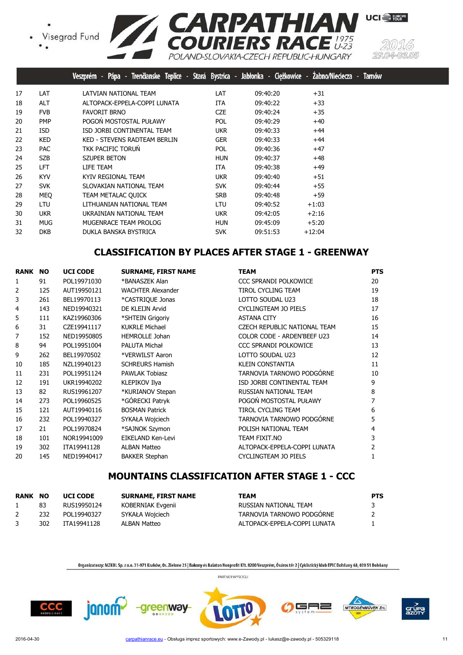



|    |            | Trenčianske Teplice - Stará Bystrica - Jabłonka - Ciężkowice - Zabno/Nieciecza -<br>Veszprém - Pápa - |            |          |          | <b>Tamów</b> |
|----|------------|-------------------------------------------------------------------------------------------------------|------------|----------|----------|--------------|
| 17 | LAT        | LATVIAN NATIONAL TEAM                                                                                 | LAT        | 09:40:20 | $+31$    |              |
| 18 | ALT        | ALTOPACK-EPPELA-COPPI LUNATA                                                                          | <b>ITA</b> | 09:40:22 | $+33$    |              |
| 19 | <b>FVB</b> | <b>FAVORIT BRNO</b>                                                                                   | <b>CZE</b> | 09:40:24 | $+35$    |              |
| 20 | <b>PMP</b> | POGOŃ MOSTOSTAL PUŁAWY                                                                                | <b>POL</b> | 09:40:29 | $+40$    |              |
| 21 | <b>ISD</b> | ISD JORBI CONTINENTAL TEAM                                                                            | <b>UKR</b> | 09:40:33 | $+44$    |              |
| 22 | <b>KED</b> | KED - STEVENS RADTEAM BERLIN                                                                          | <b>GER</b> | 09:40:33 | $+44$    |              |
| 23 | <b>PAC</b> | TKK PACIFIC TORUN                                                                                     | <b>POL</b> | 09:40:36 | $+47$    |              |
| 24 | <b>SZB</b> | <b>SZUPER BETON</b>                                                                                   | <b>HUN</b> | 09:40:37 | $+48$    |              |
| 25 | <b>LFT</b> | LIFE TEAM                                                                                             | ITA.       | 09:40:38 | $+49$    |              |
| 26 | <b>KYV</b> | KYIV REGIONAL TEAM                                                                                    | <b>UKR</b> | 09:40:40 | $+51$    |              |
| 27 | <b>SVK</b> | SLOVAKIAN NATIONAL TEAM                                                                               | <b>SVK</b> | 09:40:44 | $+55$    |              |
| 28 | MEO        | TEAM METALAC QUICK                                                                                    | <b>SRB</b> | 09:40:48 | $+59$    |              |
| 29 | LTU        | LITHUANIAN NATIONAL TEAM                                                                              | LTU        | 09:40:52 | $+1:03$  |              |
| 30 | <b>UKR</b> | UKRAINIAN NATIONAL TEAM                                                                               | <b>UKR</b> | 09:42:05 | $+2:16$  |              |
| 31 | <b>MUG</b> | MUGENRACE TEAM PROLOG                                                                                 | <b>HUN</b> | 09:45:09 | $+5:20$  |              |
| 32 | <b>DKB</b> | DUKLA BANSKA BYSTRICA                                                                                 | <b>SVK</b> | 09:51:53 | $+12:04$ |              |

# **CLASSIFICATION BY PLACES AFTER STAGE 1 - GREENWAY**

| <b>RANK</b> | <b>NO</b> | <b>UCI CODE</b> | <b>SURNAME, FIRST NAME</b> | <b>TEAM</b>                  | <b>PTS</b> |
|-------------|-----------|-----------------|----------------------------|------------------------------|------------|
| 1           | 91        | POL19971030     | *BANASZEK Alan             | CCC SPRANDI POLKOWICE        | 20         |
| 2           | 125       | AUT19950121     | <b>WACHTER Alexander</b>   | TIROL CYCLING TEAM           | 19         |
| 3           | 261       | BEL19970113     | *CASTRIQUE Jonas           | LOTTO SOUDAL U23             | 18         |
| 4           | 143       | NED19940321     | DE KLEIJN Arvid            | CYCLINGTEAM JO PIELS         | 17         |
| 5           | 111       | KAZ19960306     | *SHTEIN Grigoriy           | <b>ASTANA CITY</b>           | 16         |
| 6           | 31        | CZE19941117     | <b>KUKRLE Michael</b>      | CZECH REPUBLIC NATIONAL TEAM | 15         |
| 7           | 152       | NED19950805     | <b>HEMROLLE Johan</b>      | COLOR CODE - ARDEN'BEEF U23  | 14         |
| 8           | 94        | POL19951004     | PALUTA Michał              | <b>CCC SPRANDI POLKOWICE</b> | 13         |
| 9           | 262       | BEL19970502     | *VERWILST Aaron            | LOTTO SOUDAL U23             | 12         |
| 10          | 185       | NZL19940123     | <b>SCHREURS Hamish</b>     | <b>KLEIN CONSTANTIA</b>      | 11         |
| 11          | 231       | POL19951124     | <b>PAWLAK Tobiasz</b>      | TARNOVIA TARNOWO PODGÓRNE    | 10         |
| 12          | 191       | UKR19940202     | KLEPIKOV Ilya              | ISD JORBI CONTINENTAL TEAM   | 9          |
| 13          | 82        | RUS19961207     | *KURIANOV Stepan           | RUSSIAN NATIONAL TEAM        | 8          |
| 14          | 273       | POL19960525     | *GÓRECKI Patryk            | POGOŃ MOSTOSTAL PUŁAWY       |            |
| 15          | 121       | AUT19940116     | <b>BOSMAN Patrick</b>      | <b>TIROL CYCLING TEAM</b>    | 6          |
| 16          | 232       | POL19940327     | SYKAŁA Wojciech            | TARNOVIA TARNOWO PODGÓRNE    | 5          |
| 17          | 21        | POL19970824     | *SAJNOK Szymon             | POLISH NATIONAL TEAM         | 4          |
| 18          | 101       | NOR19941009     | EIKELAND Ken-Levi          | TEAM FIXIT.NO                | 3          |
| 19          | 302       | ITA19941128     | <b>ALBAN Matteo</b>        | ALTOPACK-EPPELA-COPPI LUNATA |            |
| 20          | 145       | NED19940417     | <b>BAKKER Stephan</b>      | CYCLINGTEAM JO PIELS         |            |

## **MOUNTAINS CLASSIFICATION AFTER STAGE 1 - CCC**

| <b>RANK NO</b> |     | <b>UCI CODE</b> | <b>SURNAME, FIRST NAME</b> | TEAM                         | <b>PTS</b>     |
|----------------|-----|-----------------|----------------------------|------------------------------|----------------|
|                | 83  | RUS19950124     | KOBERNIAK Evgenii          | RUSSIAN NATIONAL TEAM        | 3              |
|                | 232 | POL19940327     | SYKAŁA Wojciech            | TARNOVIA TARNOWO PODGÓRNE    | $\overline{2}$ |
|                | 302 | ITA19941128     | ALBAN Matteo               | ALTOPACK-EPPELA-COPPI LUNATA |                |

Organizatorzy: MZKOL Sp. z o.o. 31-971 Kraków, Os. Zielone 25 | Bakony és Balaton Nonprofit Kft. 8200 Veszprém, Óváros tér 2 | Cyklistický klub EPIC Dohňany 68, 020 51 Dohňany

PARTNER WYŚCIGU



janom<sup>2</sup>

-greenway-





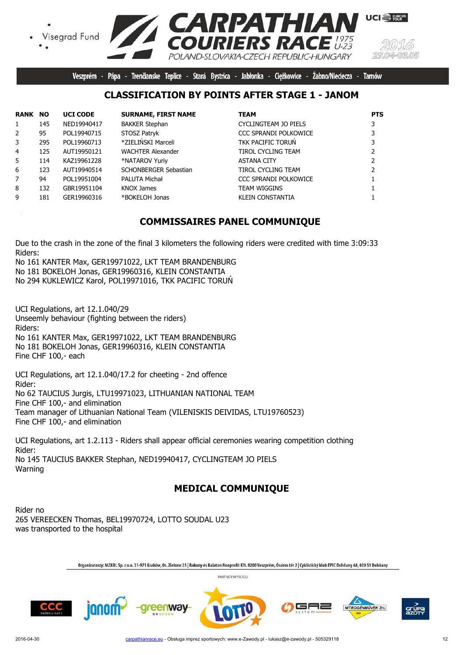

Veszprém - Pápa - Trenčianske Teplice - Stará Bystrica - Jabłonka - Ciężkowice -Żabno/Nieciecza -**Tarnów** 

#### **CLASSIFICATION BY POINTS AFTER STAGE 1 - JANOM**

| <b>RANK NO</b> |     | <b>UCI CODE</b> | <b>SURNAME, FIRST NAME</b> | <b>TEAM</b>                  | <b>PTS</b> |
|----------------|-----|-----------------|----------------------------|------------------------------|------------|
| $\mathbf{1}$   | 145 | NED19940417     | <b>BAKKER Stephan</b>      | CYCLINGTEAM JO PIELS         |            |
| $\overline{2}$ | 95  | POL19940715     | STOSZ Patryk               | CCC SPRANDI POLKOWICE        |            |
| 3              | 295 | POL19960713     | *ZIELIŃSKI Marceli         | TKK PACIFIC TORUN            |            |
| 4              | 125 | AUT19950121     | <b>WACHTER Alexander</b>   | <b>TIROL CYCLING TEAM</b>    |            |
| 5.             | 114 | KAZ19961228     | *NATAROV Yuriy             | <b>ASTANA CITY</b>           |            |
| 6              | 123 | AUT19940514     | SCHONBERGER Sebastian      | <b>TIROL CYCLING TEAM</b>    |            |
| 7              | 94  | POL19951004     | PALUTA Michał              | <b>CCC SPRANDI POLKOWICE</b> |            |
| 8              | 132 | GBR19951104     | <b>KNOX James</b>          | <b>TEAM WIGGINS</b>          |            |
| 9              | 181 | GER19960316     | *BOKELOH Jonas             | <b>KLEIN CONSTANTIA</b>      |            |

#### **COMMISSAIRES PANEL COMMUNIQUE**

Due to the crash in the zone of the final 3 kilometers the following riders were credited with time 3:09:33 Riders:

No 161 KANTER Max, GER19971022, LKT TEAM BRANDENBURG No 181 BOKELOH Jonas, GER19960316, KLEIN CONSTANTIA No 294 KUKLEWICZ Karol, POL19971016, TKK PACIFIC TORUŃ

UCI Regulations, art 12.1.040/29 Unseemly behaviour (fighting between the riders) Riders: No 161 KANTER Max, GER19971022, LKT TEAM BRANDENBURG No 181 BOKELOH Jonas, GER19960316, KLEIN CONSTANTIA Fine CHF 100,- each

UCI Regulations, art 12.1.040/17.2 for cheeting - 2nd offence Rider: No 62 TAUCIUS Jurgis, LTU19971023, LITHUANIAN NATIONAL TEAM Fine CHF 100,- and elimination Team manager of Lithuanian National Team (VILENISKIS DEIVIDAS, LTU19760523) Fine CHF 100,- and elimination

UCI Regulations, art 1.2.113 - Riders shall appear official ceremonies wearing competition clothing Rider: No 145 TAUCIUS BAKKER Stephan, NED19940417, CYCLINGTEAM JO PIELS Warning

## **MEDICAL COMMUNIQUE**

Rider no 265 VEREECKEN Thomas, BEL19970724, LOTTO SOUDAL U23 was transported to the hospital

Organizatorzy: MZKOL Sp. z o.o. 31-971 Kraków, Os. Zielone 25 | Bakony és Balaton Nonprofit Kft. 8200 Veszprém, Óváros tér 2 | Cyklistický klub EPIC Dohňany 68, 020 51 Dohňany

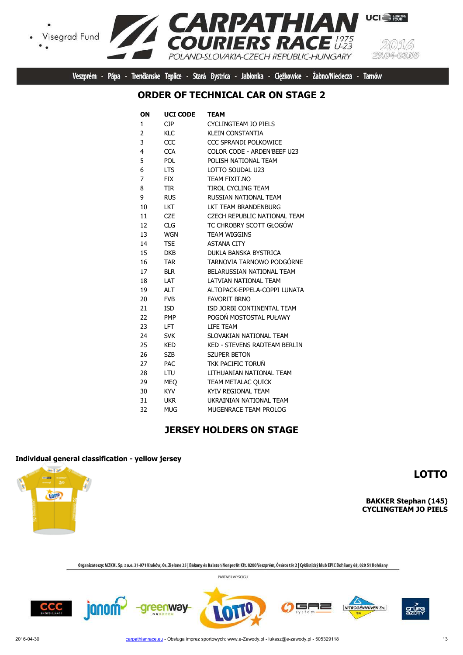



Veszprém - Pápa - Trenčianske Teplice - Stará Bystrica - Jabłonka - Ciężkowice - Żabno/Nieciecza - Tarnów

#### **ORDER OF TECHNICAL CAR ON STAGE 2**

| OΝ | <b>UCI CODE</b> | TEAM                                |
|----|-----------------|-------------------------------------|
| 1  | <b>CJP</b>      | <b>CYCLINGTEAM JO PIELS</b>         |
| 2  | <b>KLC</b>      | KLEIN CONSTANTIA                    |
| 3  | CCC             | <b>CCC SPRANDI POLKOWICE</b>        |
| 4  | <b>CCA</b>      | COLOR CODE - ARDEN'BEEF U23         |
| 5  | POL             | POLISH NATIONAL TEAM                |
| 6  | <b>LTS</b>      | LOTTO SOUDAL U23                    |
| 7  | <b>FIX</b>      | TEAM FIXIT.NO                       |
| 8  | TIR             | <b>TIROL CYCLING TEAM</b>           |
| 9  | <b>RUS</b>      | RUSSIAN NATIONAL TEAM               |
| 10 | LKT             | LKT TEAM BRANDENBURG                |
| 11 | <b>CZE</b>      | CZECH REPUBLIC NATIONAL TEAM        |
| 12 | <b>CLG</b>      | TC CHROBRY SCOTT GŁOGÓW             |
| 13 | <b>WGN</b>      | <b>TEAM WIGGINS</b>                 |
| 14 | <b>TSE</b>      | <b>ASTANA CITY</b>                  |
| 15 | <b>DKB</b>      | DUKLA BANSKA BYSTRICA               |
| 16 | <b>TAR</b>      | TARNOVIA TARNOWO PODGÓRNE           |
| 17 | <b>BLR</b>      | BELARUSSIAN NATIONAL TEAM           |
| 18 | I AT            | LATVIAN NATIONAL TEAM               |
| 19 | <b>ALT</b>      | ALTOPACK-EPPELA-COPPI LUNATA        |
| 20 | <b>FVB</b>      | <b>FAVORIT BRNO</b>                 |
| 21 | <b>ISD</b>      | ISD JORBI CONTINENTAL TEAM          |
| 22 | <b>PMP</b>      | POGOŃ MOSTOSTAL PUŁAWY              |
| 23 | LFT.            | LIFE TEAM                           |
| 24 | <b>SVK</b>      | SLOVAKIAN NATIONAL TEAM             |
| 25 | <b>KED</b>      | <b>KED - STEVENS RADTEAM BERLIN</b> |
| 26 | <b>SZB</b>      | <b>SZUPER BETON</b>                 |
| 27 | <b>PAC</b>      | <b>TKK PACIFIC TORUN</b>            |
| 28 | LTU             | LITHUANIAN NATIONAL TEAM            |
| 29 | <b>MEO</b>      | TEAM METALAC QUICK                  |
| 30 | <b>KYV</b>      | KYIV REGIONAL TEAM                  |
| 31 | <b>UKR</b>      | UKRAINIAN NATIONAL TEAM             |
| 32 | <b>MUG</b>      | MUGENRACE TEAM PROLOG               |
|    |                 |                                     |

#### **JERSEY HOLDERS ON STAGE**

#### **Individual general classification - yellow jersey**

**And and** ... **TOTP** 

**LOTTO**

**BAKKER Stephan (145) CYCLINGTEAM JO PIELS**

Organizatorzy: MZKOL Sp. z o.o. 31-971 Kraków, Os. Zielone 25 | Bakony és Balaton Nonprofit Kft. 8200 Veszprém, Óváros tér 2 | Cyklistický klub EPIC Dohňany 68, 020 51 Dohňany